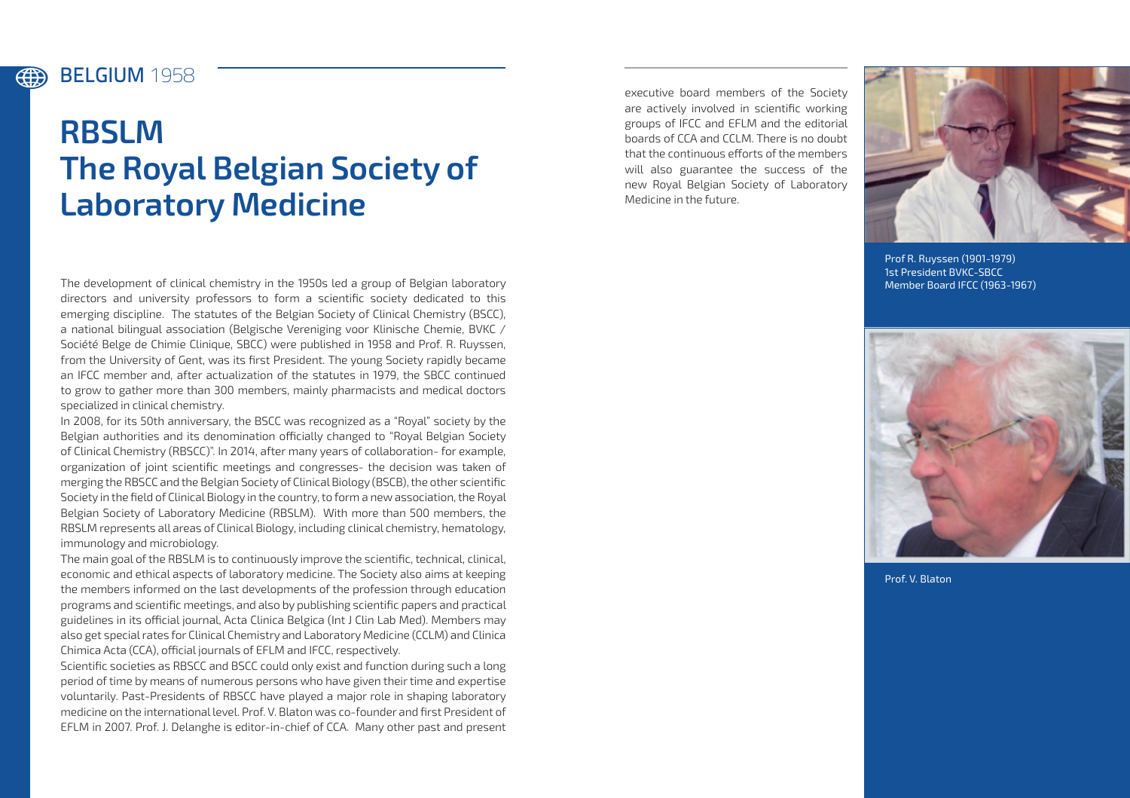## BELGIUM **1958**

(#)

# **RBSLM The Royal Belgian Society of Laboratory Medicine**

The development of clinical chemistry in the 1950s led a group of Belgian laboratory directors and university professors to form a scientific society dedicated to this emerging discipline. The statutes of the Belgian Society of Clinical Chemistry (BSCC), a national bilingual association (Belgische Vereniging voor Klinische Chemie, BVKC / Société Belge de Chimie Clinique, SBCC) were published in 1958 and Prof. R. Ruyssen, from the University of Gent, was its first President. The young Society rapidly became an IFCC member and, after actualization of the statutes in 1979, the SBCC continued to grow to gather more than 300 members, mainly pharmacists and medical doctors specialized in clinical chemistry.

In 2008, for its 50th anniversary, the BSCC was recognized as a "Royal" society by the Belgian authorities and its denomination officially changed to "Royal Belgian Society of Clinical Chemistry (RBSCC)". In 2014, after many years of collaboration- for example, organization of joint scientific meetings and congresses- the decision was taken of merging the RBSCC and the Belgian Society of Clinical Biology (BSCB), the other scientific Society in the field of Clinical Biology in the country, to form a new association, the Royal Belgian Society of Laboratory Medicine (RBSLM). With more than 500 members, the RBSLM represents all areas of Clinical Biology, including clinical chemistry, hematology, immunology and microbiology.

The main goal of the RBSLM is to continuously improve the scientific, technical, clinical, economic and ethical aspects of laboratory medicine. The Society also aims at keeping the members informed on the last developments of the profession through education programs and scientific meetings, and also by publishing scientific papers and practical guidelines in its official journal, Acta Clinica Belgica (Int J Clin Lab Med). Members may also get special rates for Clinical Chemistry and Laboratory Medicine (CCLM) and Clinica Chimica Acta (CCA), official journals of EFLM and IFCC, respectively.

Scientific societies as RBSCC and BSCC could only exist and function during such a long period of time by means of numerous persons who have given their time and expertise voluntarily. Past-Presidents of RBSCC have played a major role in shaping laboratory medicine on the international level. Prof. V. Blaton was co-founder and first President of EFLM in 2007. Prof. J. Delanghe is editor-in-chief of CCA. Many other past and present

executive board members of the Society are actively involved in scientific working groups of IFCC and EFLM and the editorial boards of CCA and CCLM. There is no doubt that the continuous efforts of the members will also guarantee the success of the new Royal Belgian Society of Laboratory Medicine in the future.



Prof R. Ruyssen (1901-1979) 1st President BVKC-SBCC Member Board IFCC (1963-1967)



Prof. V. Blaton